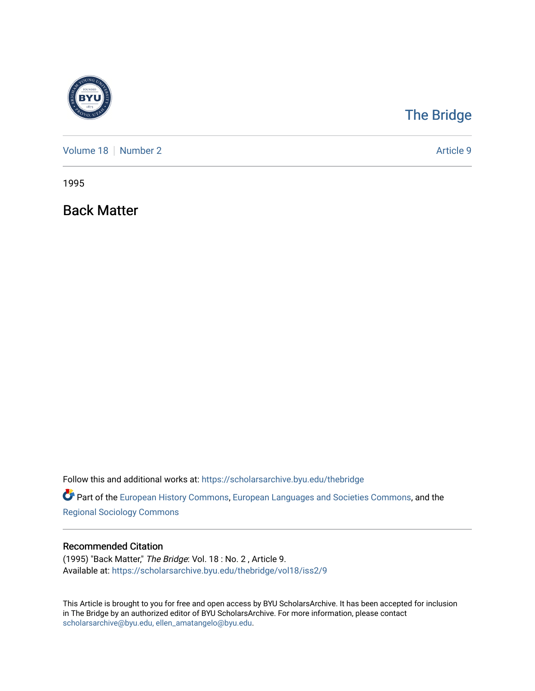

## [The Bridge](https://scholarsarchive.byu.edu/thebridge)

[Volume 18](https://scholarsarchive.byu.edu/thebridge/vol18) [Number 2](https://scholarsarchive.byu.edu/thebridge/vol18/iss2) Article 9

1995

Back Matter

Follow this and additional works at: [https://scholarsarchive.byu.edu/thebridge](https://scholarsarchive.byu.edu/thebridge?utm_source=scholarsarchive.byu.edu%2Fthebridge%2Fvol18%2Fiss2%2F9&utm_medium=PDF&utm_campaign=PDFCoverPages) 

**Part of the [European History Commons](http://network.bepress.com/hgg/discipline/492?utm_source=scholarsarchive.byu.edu%2Fthebridge%2Fvol18%2Fiss2%2F9&utm_medium=PDF&utm_campaign=PDFCoverPages), [European Languages and Societies Commons,](http://network.bepress.com/hgg/discipline/482?utm_source=scholarsarchive.byu.edu%2Fthebridge%2Fvol18%2Fiss2%2F9&utm_medium=PDF&utm_campaign=PDFCoverPages) and the** [Regional Sociology Commons](http://network.bepress.com/hgg/discipline/427?utm_source=scholarsarchive.byu.edu%2Fthebridge%2Fvol18%2Fiss2%2F9&utm_medium=PDF&utm_campaign=PDFCoverPages) 

## Recommended Citation

(1995) "Back Matter," The Bridge: Vol. 18 : No. 2 , Article 9. Available at: [https://scholarsarchive.byu.edu/thebridge/vol18/iss2/9](https://scholarsarchive.byu.edu/thebridge/vol18/iss2/9?utm_source=scholarsarchive.byu.edu%2Fthebridge%2Fvol18%2Fiss2%2F9&utm_medium=PDF&utm_campaign=PDFCoverPages) 

This Article is brought to you for free and open access by BYU ScholarsArchive. It has been accepted for inclusion in The Bridge by an authorized editor of BYU ScholarsArchive. For more information, please contact [scholarsarchive@byu.edu, ellen\\_amatangelo@byu.edu](mailto:scholarsarchive@byu.edu,%20ellen_amatangelo@byu.edu).